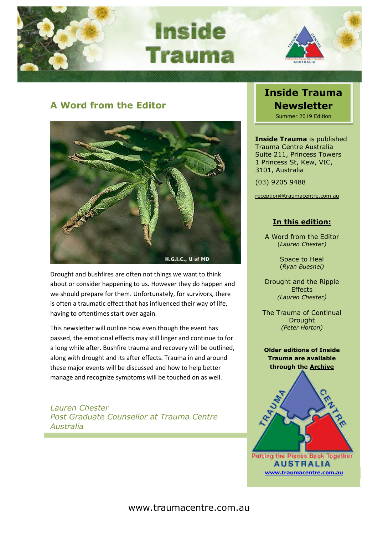

**Inside Trauma** 



## **A Word from the Editor**



Drought and bushfires are often not things we want to think about or consider happening to us. However they do happen and we should prepare for them. Unfortunately, for survivors, there is often a traumatic effect that has influenced their way of life, having to oftentimes start over again.

This newsletter will outline how even though the event has passed, the emotional effects may still linger and continue to for a long while after. Bushfire trauma and recovery will be outlined, along with drought and its after effects. Trauma in and around these major events will be discussed and how to help better manage and recognize symptoms will be touched on as well.

*Lauren Chester Post Graduate Counsellor at Trauma Centre Australia*

## **Inside Trauma Newsletter** Summer 2019 Edition

**Inside Trauma** is published Trauma Centre Australia Suite 211, Princess Towers 1 Princess St, Kew, VIC, 3101, Australia

(03) 9205 9488

[reception@traumacentre.com.au](mailto:reception@traumacentre.com.au)

## **In this edition:**

A Word from the Editor (*Lauren Chester)*

> Space to Heal (*Ryan Buesnel)*

Drought and the Ripple **Effects** *(Lauren Chester)*

The Trauma of Continual **Drought** *(Peter Horton)*

**Older editions of Inside Trauma are available through the [Archive](http://www.traumacentre.com.au/newsletter/index.html)**



**Putting the Pieces Back Together AUSTRALIA [www.traumacentre.com.au](http://www.traumacentre.com.au/)**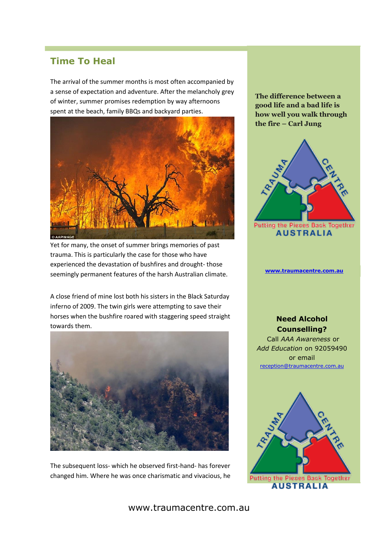## **Time To Heal**

The arrival of the summer months is most often accompanied by a sense of expectation and adventure. After the melancholy grey of winter, summer promises redemption by way afternoons spent at the beach, family BBQs and backyard parties.



Yet for many, the onset of summer brings memories of past trauma. This is particularly the case for those who have experienced the devastation of bushfires and drought- those seemingly permanent features of the harsh Australian climate.

A close friend of mine lost both his sisters in the Black Saturday inferno of 2009. The twin girls were attempting to save their horses when the bushfire roared with staggering speed straight towards them.



The subsequent loss- which he observed first-hand- has forever changed him. Where he was once charismatic and vivacious, he **The difference between a good life and a bad life is how well you walk through the fire – Carl Jung**



**Putting the Pieces Back Together AUSTRALIA** 

#### **[www.traumacentre.com.au](http://www.traumacentre.com.au/)**

### **Need Alcohol Counselling?**

Call *AAA Awareness* or *Add Education* on 92059490 or email [reception@traumacentre.com.au](mailto:reception@traumacentre.com.au)



#### www.traumacentre.com.au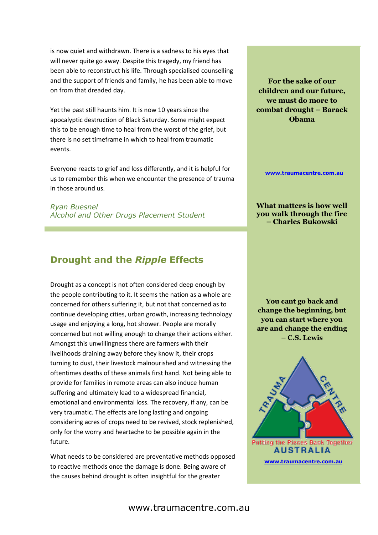is now quiet and withdrawn. There is a sadness to his eyes that will never quite go away. Despite this tragedy, my friend has been able to reconstruct his life. Through specialised counselling and the support of friends and family, he has been able to move on from that dreaded day.

Yet the past still haunts him. It is now 10 years since the apocalyptic destruction of Black Saturday. Some might expect this to be enough time to heal from the worst of the grief, but there is no set timeframe in which to heal from traumatic events.

Everyone reacts to grief and loss differently, and it is helpful for us to remember this when we encounter the presence of trauma in those around us.

*Ryan Buesnel Alcohol and Other Drugs Placement Student*

# **Drought and the** *Ripple* **Effects**

Drought as a concept is not often considered deep enough by the people contributing to it. It seems the nation as a whole are concerned for others suffering it, but not that concerned as to continue developing cities, urban growth, increasing technology usage and enjoying a long, hot shower. People are morally concerned but not willing enough to change their actions either. Amongst this unwillingness there are farmers with their livelihoods draining away before they know it, their crops turning to dust, their livestock malnourished and witnessing the oftentimes deaths of these animals first hand. Not being able to provide for families in remote areas can also induce human suffering and ultimately lead to a widespread financial, emotional and environmental loss. The recovery, if any, can be very traumatic. The effects are long lasting and ongoing considering acres of crops need to be revived, stock replenished, only for the worry and heartache to be possible again in the future.

What needs to be considered are preventative methods opposed to reactive methods once the damage is done. Being aware of the causes behind drought is often insightful for the greater

**For the sake of our children and our future, we must do more to combat drought – Barack Obama**

**[www.traumacentre.com.au](http://www.traumacentre.com.au/)**

**What matters is how well you walk through the fire – Charles Bukowski**

**You cant go back and change the beginning, but you can start where you are and change the ending – C.S. Lewis**

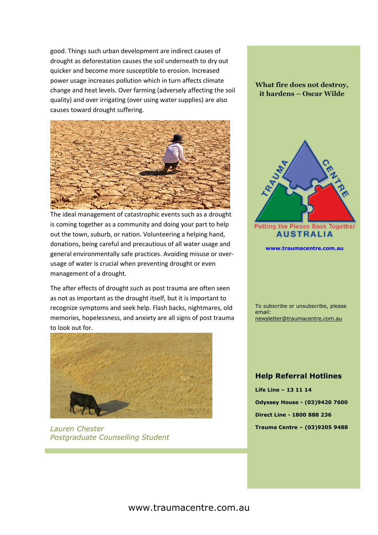good. Things such urban development are indirect causes of drought as deforestation causes the soil underneath to dry out quicker and become more susceptible to erosion. Increased power usage increases pollution which in turn affects climate change and heat levels. Over farming (adversely affecting the soil quality) and over irrigating (over using water supplies) are also causes toward drought suffering.



The ideal management of catastrophic events such as a drought is coming together as a community and doing your part to help out the town, suburb, or nation. Volunteering a helping hand, donations, being careful and precautious of all water usage and general environmentally safe practices. Avoiding misuse or overusage of water is crucial when preventing drought or even management of a drought.

The after effects of drought such as post trauma are often seen as not as important as the drought itself, but it is important to recognize symptoms and seek help. Flash backs, nightmares, old memories, hopelessness, and anxiety are all signs of post trauma to look out for.



*Lauren Chester Postgraduate Counselling Student*

### **What fire does not destroy, it hardens – Oscar Wilde**



**Putting the Pieces Back Together AUSTRALIA** 

**[www.traumacentre.com.au](http://www.traumacentre.com.au/)**

To subscribe or unsubscribe, please email: [newsletter@traumacentre.com.au](mailto:newsletter@traumacentre.com.au?subject=Newsletter%20-%20Unsubcribe)

#### **Help Referral Hotlines**

**Life Line – 13 11 14 Odyssey House - (03)9420 7600 Direct Line - 1800 888 236 Trauma Centre – (03)9205 9488**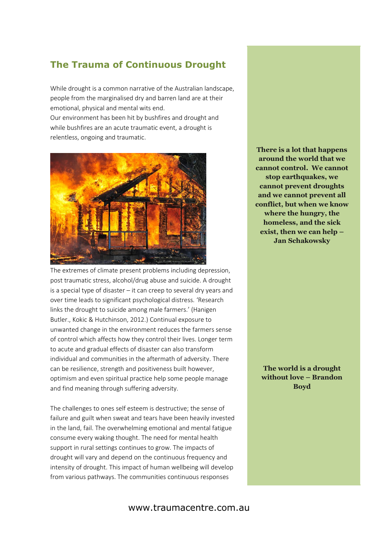## **The Trauma of Continuous Drought**

While drought is a common narrative of the Australian landscape, people from the marginalised dry and barren land are at their emotional, physical and mental wits end. Our environment has been hit by bushfires and drought and while bushfires are an acute traumatic event, a drought is



relentless, ongoing and traumatic.

The extremes of climate present problems including depression, post traumatic stress, alcohol/drug abuse and suicide. A drought is a special type of disaster – it can creep to several dry years and over time leads to significant psychological distress. 'Research links the drought to suicide among male farmers.' (Hanigen Butler., Kokic & Hutchinson, 2012.) Continual exposure to unwanted change in the environment reduces the farmers sense of control which affects how they control their lives. Longer term to acute and gradual effects of disaster can also transform individual and communities in the aftermath of adversity. There can be resilience, strength and positiveness built however, optimism and even spiritual practice help some people manage and find meaning through suffering adversity.

The challenges to ones self esteem is destructive; the sense of failure and guilt when sweat and tears have been heavily invested in the land, fail. The overwhelming emotional and mental fatigue consume every waking thought. The need for mental health support in rural settings continues to grow. The impacts of drought will vary and depend on the continuous frequency and intensity of drought. This impact of human wellbeing will develop from various pathways. The communities continuous responses

**There is a lot that happens around the world that we cannot control. We cannot stop earthquakes, we cannot prevent droughts and we cannot prevent all conflict, but when we know where the hungry, the homeless, and the sick exist, then we can help – Jan Schakowsky**

**The world is a drought without love – Brandon Boyd**

### www.traumacentre.com.au